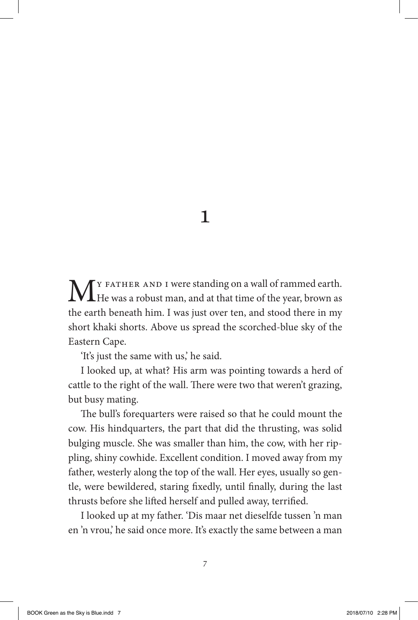## 1

M<sub>Y</sub> FATHER AND I were standing on a wall of rammed earth.<br>He was a robust man, and at that time of the year, brown as the earth beneath him. I was just over ten, and stood there in my short khaki shorts. Above us spread the scorched-blue sky of the Eastern Cape.

'It's just the same with us,' he said.

I looked up, at what? His arm was pointing towards a herd of cattle to the right of the wall. There were two that weren't grazing, but busy mating.

The bull's forequarters were raised so that he could mount the cow. His hindquarters, the part that did the thrusting, was solid bulging muscle. She was smaller than him, the cow, with her rippling, shiny cowhide. Excellent condition. I moved away from my father, westerly along the top of the wall. Her eyes, usually so gentle, were bewildered, staring fixedly, until finally, during the last thrusts before she lifted herself and pulled away, terrified.

I looked up at my father. 'Dis maar net dieselfde tussen 'n man en 'n vrou,' he said once more. It's exactly the same between a man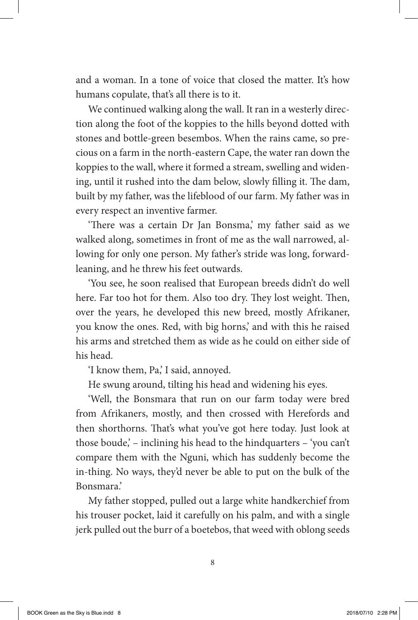and a woman. In a tone of voice that closed the matter. It's how humans copulate, that's all there is to it.

We continued walking along the wall. It ran in a westerly direction along the foot of the koppies to the hills beyond dotted with stones and bottle-green besembos. When the rains came, so precious on a farm in the north-eastern Cape, the water ran down the koppies to the wall, where it formed a stream, swelling and widening, until it rushed into the dam below, slowly filling it. The dam, built by my father, was the lifeblood of our farm. My father was in every respect an inventive farmer.

'There was a certain Dr Jan Bonsma,' my father said as we walked along, sometimes in front of me as the wall narrowed, allowing for only one person. My father's stride was long, forwardleaning, and he threw his feet outwards.

'You see, he soon realised that European breeds didn't do well here. Far too hot for them. Also too dry. They lost weight. Then, over the years, he developed this new breed, mostly Afrikaner, you know the ones. Red, with big horns,' and with this he raised his arms and stretched them as wide as he could on either side of his head.

'I know them, Pa,' I said, annoyed.

He swung around, tilting his head and widening his eyes.

'Well, the Bonsmara that run on our farm today were bred from Afrikaners, mostly, and then crossed with Herefords and then shorthorns. That's what you've got here today. Just look at those boude,' – inclining his head to the hindquarters – 'you can't compare them with the Nguni, which has suddenly become the in-thing. No ways, they'd never be able to put on the bulk of the Bonsmara.'

My father stopped, pulled out a large white handkerchief from his trouser pocket, laid it carefully on his palm, and with a single jerk pulled out the burr of a boetebos, that weed with oblong seeds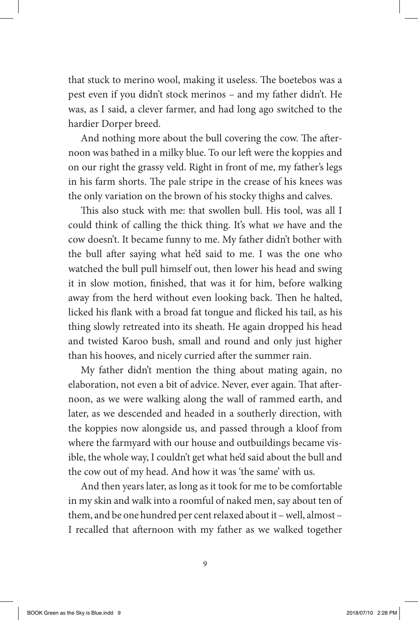that stuck to merino wool, making it useless. The boetebos was a pest even if you didn't stock merinos – and my father didn't. He was, as I said, a clever farmer, and had long ago switched to the hardier Dorper breed.

And nothing more about the bull covering the cow. The afternoon was bathed in a milky blue. To our left were the koppies and on our right the grassy veld. Right in front of me, my father's legs in his farm shorts. The pale stripe in the crease of his knees was the only variation on the brown of his stocky thighs and calves.

This also stuck with me: that swollen bull. His tool, was all I could think of calling the thick thing. It's what *we* have and the cow doesn't. It became funny to me. My father didn't bother with the bull after saying what he'd said to me. I was the one who watched the bull pull himself out, then lower his head and swing it in slow motion, finished, that was it for him, before walking away from the herd without even looking back. Then he halted, licked his flank with a broad fat tongue and flicked his tail, as his thing slowly retreated into its sheath. He again dropped his head and twisted Karoo bush, small and round and only just higher than his hooves, and nicely curried after the summer rain.

My father didn't mention the thing about mating again, no elaboration, not even a bit of advice. Never, ever again. That afternoon, as we were walking along the wall of rammed earth, and later, as we descended and headed in a southerly direction, with the koppies now alongside us, and passed through a kloof from where the farmyard with our house and outbuildings became visible, the whole way, I couldn't get what he'd said about the bull and the cow out of my head. And how it was 'the same' with us.

And then years later, as long as it took for me to be comfortable in my skin and walk into a roomful of naked men, say about ten of them, and be one hundred per cent relaxed about it – well, almost – I recalled that afternoon with my father as we walked together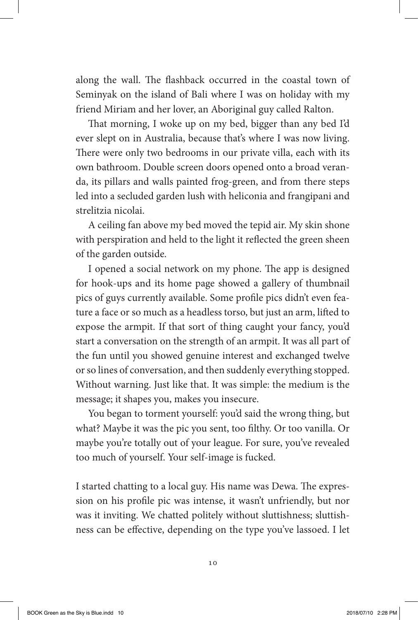along the wall. The flashback occurred in the coastal town of Seminyak on the island of Bali where I was on holiday with my friend Miriam and her lover, an Aboriginal guy called Ralton.

That morning, I woke up on my bed, bigger than any bed I'd ever slept on in Australia, because that's where I was now living. There were only two bedrooms in our private villa, each with its own bathroom. Double screen doors opened onto a broad veranda, its pillars and walls painted frog-green, and from there steps led into a secluded garden lush with heliconia and frangipani and strelitzia nicolai.

A ceiling fan above my bed moved the tepid air. My skin shone with perspiration and held to the light it reflected the green sheen of the garden outside.

I opened a social network on my phone. The app is designed for hook-ups and its home page showed a gallery of thumbnail pics of guys currently available. Some profile pics didn't even feature a face or so much as a headless torso, but just an arm, lifted to expose the armpit. If that sort of thing caught your fancy, you'd start a conversation on the strength of an armpit. It was all part of the fun until you showed genuine interest and exchanged twelve or so lines of conversation, and then suddenly everything stopped. Without warning. Just like that. It was simple: the medium is the message; it shapes you, makes you insecure.

You began to torment yourself: you'd said the wrong thing, but what? Maybe it was the pic you sent, too filthy. Or too vanilla. Or maybe you're totally out of your league. For sure, you've revealed too much of yourself. Your self-image is fucked.

I started chatting to a local guy. His name was Dewa. The expression on his profile pic was intense, it wasn't unfriendly, but nor was it inviting. We chatted politely without sluttishness; sluttishness can be effective, depending on the type you've lassoed. I let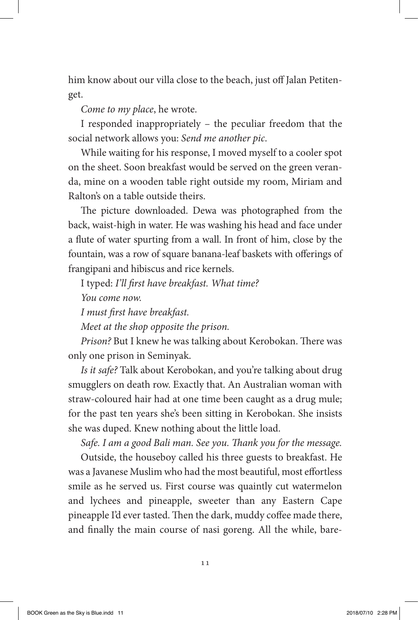him know about our villa close to the beach, just off Jalan Petitenget.

*Come to my place*, he wrote.

I responded inappropriately – the peculiar freedom that the social network allows you: *Send me another pic*.

While waiting for his response, I moved myself to a cooler spot on the sheet. Soon breakfast would be served on the green veranda, mine on a wooden table right outside my room, Miriam and Ralton's on a table outside theirs.

The picture downloaded. Dewa was photographed from the back, waist-high in water. He was washing his head and face under a flute of water spurting from a wall. In front of him, close by the fountain, was a row of square banana-leaf baskets with offerings of frangipani and hibiscus and rice kernels.

I typed: *I'll first have breakfast. What time?*

*You come now.*

*I must first have breakfast.*

*Meet at the shop opposite the prison.*

*Prison?* But I knew he was talking about Kerobokan. There was only one prison in Seminyak.

*Is it safe?* Talk about Kerobokan, and you're talking about drug smugglers on death row. Exactly that. An Australian woman with straw-coloured hair had at one time been caught as a drug mule; for the past ten years she's been sitting in Kerobokan. She insists she was duped. Knew nothing about the little load.

*Safe. I am a good Bali man. See you. Thank you for the message.*

Outside, the houseboy called his three guests to breakfast. He was a Javanese Muslim who had the most beautiful, most effortless smile as he served us. First course was quaintly cut watermelon and lychees and pineapple, sweeter than any Eastern Cape pineapple I'd ever tasted. Then the dark, muddy coffee made there, and finally the main course of nasi goreng. All the while, bare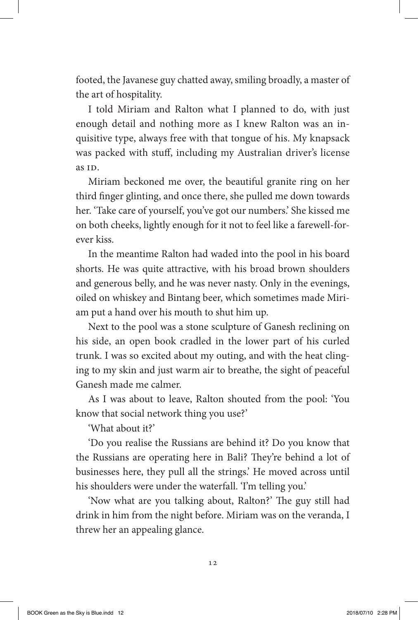footed, the Javanese guy chatted away, smiling broadly, a master of the art of hospitality.

I told Miriam and Ralton what I planned to do, with just enough detail and nothing more as I knew Ralton was an inquisitive type, always free with that tongue of his. My knapsack was packed with stuff, including my Australian driver's license as ID.

Miriam beckoned me over, the beautiful granite ring on her third finger glinting, and once there, she pulled me down towards her. 'Take care of yourself, you've got our numbers.' She kissed me on both cheeks, lightly enough for it not to feel like a farewell-forever kiss.

In the meantime Ralton had waded into the pool in his board shorts. He was quite attractive, with his broad brown shoulders and generous belly, and he was never nasty. Only in the evenings, oiled on whiskey and Bintang beer, which sometimes made Miriam put a hand over his mouth to shut him up.

Next to the pool was a stone sculpture of Ganesh reclining on his side, an open book cradled in the lower part of his curled trunk. I was so excited about my outing, and with the heat clinging to my skin and just warm air to breathe, the sight of peaceful Ganesh made me calmer.

As I was about to leave, Ralton shouted from the pool: 'You know that social network thing you use?'

'What about it?'

'Do you realise the Russians are behind it? Do you know that the Russians are operating here in Bali? They're behind a lot of businesses here, they pull all the strings.' He moved across until his shoulders were under the waterfall. 'I'm telling you.'

'Now what are you talking about, Ralton?' The guy still had drink in him from the night before. Miriam was on the veranda, I threw her an appealing glance.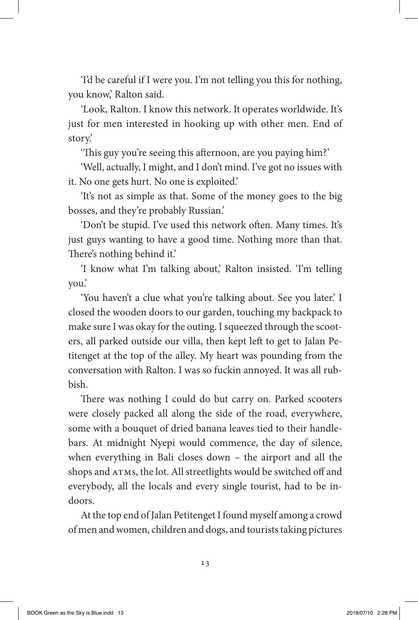'I'd be careful if I were you. I'm not telling you this for nothing, you know,' Ralton said.

'Look, Ralton. I know this network. It operates worldwide. It's just for men interested in hooking up with other men. End of story.'

'This guy you're seeing this afternoon, are you paying him?'

'Well, actually, I might, and I don't mind. I've got no issues with it. No one gets hurt. No one is exploited.'

'It's not as simple as that. Some of the money goes to the big bosses, and they're probably Russian.'

'Don't be stupid. I've used this network often. Many times. It's just guys wanting to have a good time. Nothing more than that. There's nothing behind it.'

'I know what I'm talking about,' Ralton insisted. 'I'm telling you.'

'You haven't a clue what you're talking about. See you later.' I closed the wooden doors to our garden, touching my backpack to make sure I was okay for the outing. I squeezed through the scooters, all parked outside our villa, then kept left to get to Jalan Petitenget at the top of the alley. My heart was pounding from the conversation with Ralton. I was so fuckin annoyed. It was all rubbish.

There was nothing I could do but carry on. Parked scooters were closely packed all along the side of the road, everywhere, some with a bouquet of dried banana leaves tied to their handlebars. At midnight Nyepi would commence, the day of silence, when everything in Bali closes down – the airport and all the shops and ATMs, the lot. All streetlights would be switched off and everybody, all the locals and every single tourist, had to be indoors.

At the top end of Jalan Petitenget I found myself among a crowd of men and women, children and dogs, and tourists taking pictures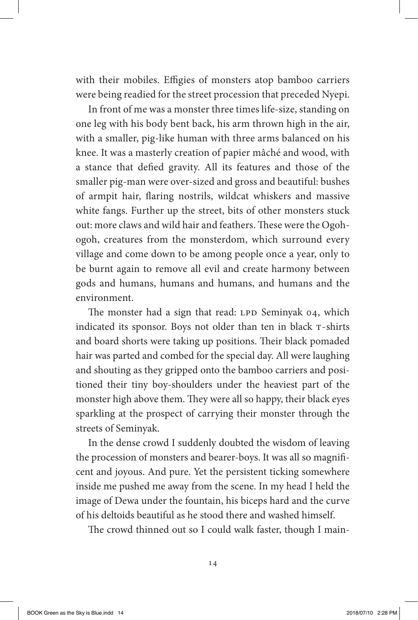with their mobiles. Effigies of monsters atop bamboo carriers were being readied for the street procession that preceded Nyepi.

In front of me was a monster three times life-size, standing on one leg with his body bent back, his arm thrown high in the air, with a smaller, pig-like human with three arms balanced on his knee. It was a masterly creation of papier mâché and wood, with a stance that defied gravity. All its features and those of the smaller pig-man were over-sized and gross and beautiful: bushes of armpit hair, flaring nostrils, wildcat whiskers and massive white fangs. Further up the street, bits of other monsters stuck out: more claws and wild hair and feathers. These were the Ogohogoh, creatures from the monsterdom, which surround every village and come down to be among people once a year, only to be burnt again to remove all evil and create harmony between gods and humans, humans and humans, and humans and the environment.

The monster had a sign that read: LPD Seminyak 04, which indicated its sponsor. Boys not older than ten in black T-shirts and board shorts were taking up positions. Their black pomaded hair was parted and combed for the special day. All were laughing and shouting as they gripped onto the bamboo carriers and positioned their tiny boy-shoulders under the heaviest part of the monster high above them. They were all so happy, their black eyes sparkling at the prospect of carrying their monster through the streets of Seminyak.

In the dense crowd I suddenly doubted the wisdom of leaving the procession of monsters and bearer-boys. It was all so magnificent and joyous. And pure. Yet the persistent ticking somewhere inside me pushed me away from the scene. In my head I held the image of Dewa under the fountain, his biceps hard and the curve of his deltoids beautiful as he stood there and washed himself.

The crowd thinned out so I could walk faster, though I main-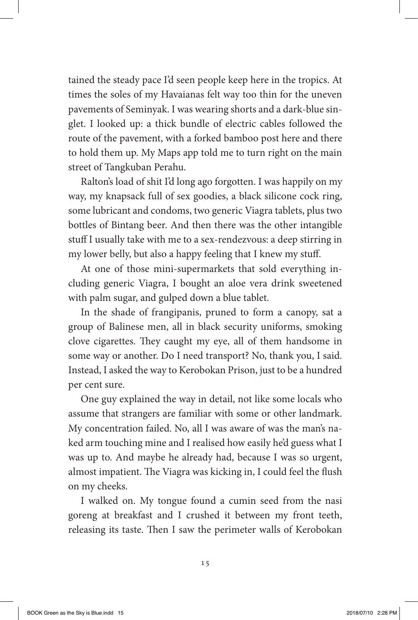tained the steady pace I'd seen people keep here in the tropics. At times the soles of my Havaianas felt way too thin for the uneven pavements of Seminyak. I was wearing shorts and a dark-blue singlet. I looked up: a thick bundle of electric cables followed the route of the pavement, with a forked bamboo post here and there to hold them up. My Maps app told me to turn right on the main street of Tangkuban Perahu.

Ralton's load of shit I'd long ago forgotten. I was happily on my way, my knapsack full of sex goodies, a black silicone cock ring, some lubricant and condoms, two generic Viagra tablets, plus two bottles of Bintang beer. And then there was the other intangible stuff I usually take with me to a sex-rendezvous: a deep stirring in my lower belly, but also a happy feeling that I knew my stuff.

At one of those mini-supermarkets that sold everything including generic Viagra, I bought an aloe vera drink sweetened with palm sugar, and gulped down a blue tablet.

In the shade of frangipanis, pruned to form a canopy, sat a group of Balinese men, all in black security uniforms, smoking clove cigarettes. They caught my eye, all of them handsome in some way or another. Do I need transport? No, thank you, I said. Instead, I asked the way to Kerobokan Prison, just to be a hundred per cent sure.

One guy explained the way in detail, not like some locals who assume that strangers are familiar with some or other landmark. My concentration failed. No, all I was aware of was the man's naked arm touching mine and I realised how easily he'd guess what I was up to. And maybe he already had, because I was so urgent, almost impatient. The Viagra was kicking in, I could feel the flush on my cheeks.

I walked on. My tongue found a cumin seed from the nasi goreng at breakfast and I crushed it between my front teeth, releasing its taste. Then I saw the perimeter walls of Kerobokan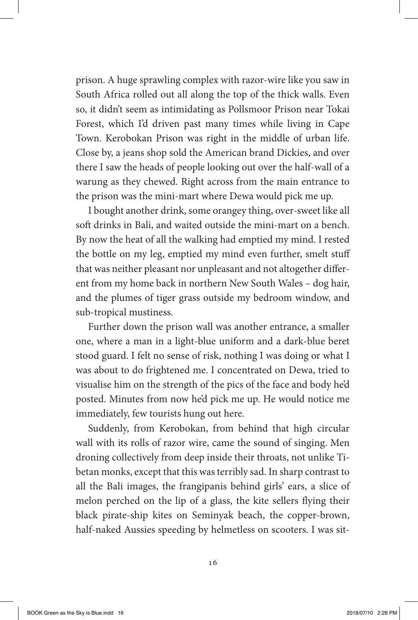prison. A huge sprawling complex with razor-wire like you saw in South Africa rolled out all along the top of the thick walls. Even so, it didn't seem as intimidating as Pollsmoor Prison near Tokai Forest, which I'd driven past many times while living in Cape Town. Kerobokan Prison was right in the middle of urban life. Close by, a jeans shop sold the American brand Dickies, and over there I saw the heads of people looking out over the half-wall of a warung as they chewed. Right across from the main entrance to the prison was the mini-mart where Dewa would pick me up.

I bought another drink, some orangey thing, over-sweet like all soft drinks in Bali, and waited outside the mini-mart on a bench. By now the heat of all the walking had emptied my mind. I rested the bottle on my leg, emptied my mind even further, smelt stuff that was neither pleasant nor unpleasant and not altogether different from my home back in northern New South Wales – dog hair, and the plumes of tiger grass outside my bedroom window, and sub-tropical mustiness.

Further down the prison wall was another entrance, a smaller one, where a man in a light-blue uniform and a dark-blue beret stood guard. I felt no sense of risk, nothing I was doing or what I was about to do frightened me. I concentrated on Dewa, tried to visualise him on the strength of the pics of the face and body he'd posted. Minutes from now he'd pick me up. He would notice me immediately, few tourists hung out here.

Suddenly, from Kerobokan, from behind that high circular wall with its rolls of razor wire, came the sound of singing. Men droning collectively from deep inside their throats, not unlike Tibetan monks, except that this was terribly sad. In sharp contrast to all the Bali images, the frangipanis behind girls' ears, a slice of melon perched on the lip of a glass, the kite sellers flying their black pirate-ship kites on Seminyak beach, the copper-brown, half-naked Aussies speeding by helmetless on scooters. I was sit-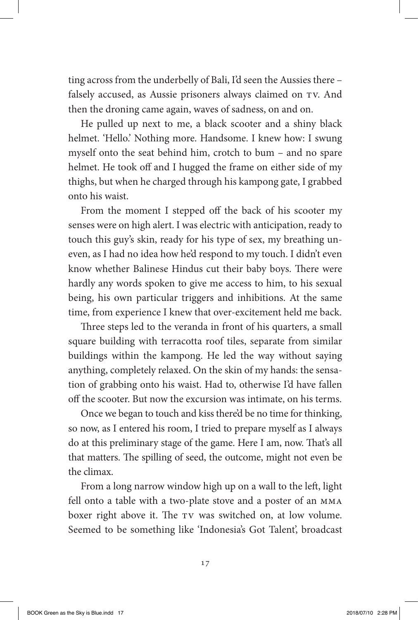ting across from the underbelly of Bali, I'd seen the Aussies there – falsely accused, as Aussie prisoners always claimed on TV. And then the droning came again, waves of sadness, on and on.

He pulled up next to me, a black scooter and a shiny black helmet. 'Hello.' Nothing more. Handsome. I knew how: I swung myself onto the seat behind him, crotch to bum – and no spare helmet. He took off and I hugged the frame on either side of my thighs, but when he charged through his kampong gate, I grabbed onto his waist.

From the moment I stepped off the back of his scooter my senses were on high alert. I was electric with anticipation, ready to touch this guy's skin, ready for his type of sex, my breathing uneven, as I had no idea how he'd respond to my touch. I didn't even know whether Balinese Hindus cut their baby boys. There were hardly any words spoken to give me access to him, to his sexual being, his own particular triggers and inhibitions. At the same time, from experience I knew that over-excitement held me back.

Three steps led to the veranda in front of his quarters, a small square building with terracotta roof tiles, separate from similar buildings within the kampong. He led the way without saying anything, completely relaxed. On the skin of my hands: the sensation of grabbing onto his waist. Had to, otherwise I'd have fallen off the scooter. But now the excursion was intimate, on his terms.

Once we began to touch and kiss there'd be no time for thinking, so now, as I entered his room, I tried to prepare myself as I always do at this preliminary stage of the game. Here I am, now. That's all that matters. The spilling of seed, the outcome, might not even be the climax.

From a long narrow window high up on a wall to the left, light fell onto a table with a two-plate stove and a poster of an MMA boxer right above it. The TV was switched on, at low volume. Seemed to be something like 'Indonesia's Got Talent', broadcast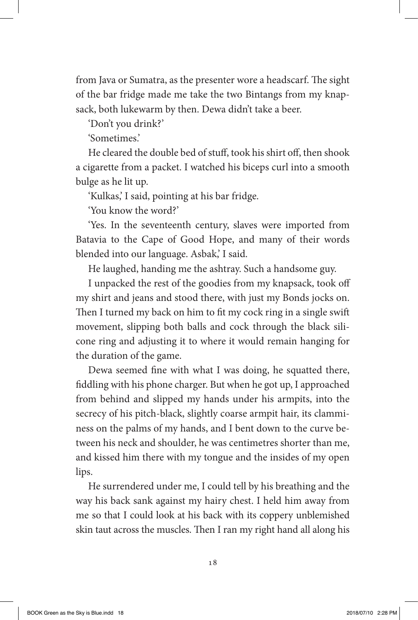from Java or Sumatra, as the presenter wore a headscarf. The sight of the bar fridge made me take the two Bintangs from my knapsack, both lukewarm by then. Dewa didn't take a beer.

'Don't you drink?'

'Sometimes.'

He cleared the double bed of stuff, took his shirt off, then shook a cigarette from a packet. I watched his biceps curl into a smooth bulge as he lit up.

'Kulkas,' I said, pointing at his bar fridge.

'You know the word?'

'Yes. In the seventeenth century, slaves were imported from Batavia to the Cape of Good Hope, and many of their words blended into our language. Asbak,' I said.

He laughed, handing me the ashtray. Such a handsome guy.

I unpacked the rest of the goodies from my knapsack, took off my shirt and jeans and stood there, with just my Bonds jocks on. Then I turned my back on him to fit my cock ring in a single swift movement, slipping both balls and cock through the black silicone ring and adjusting it to where it would remain hanging for the duration of the game.

Dewa seemed fine with what I was doing, he squatted there, fiddling with his phone charger. But when he got up, I approached from behind and slipped my hands under his armpits, into the secrecy of his pitch-black, slightly coarse armpit hair, its clamminess on the palms of my hands, and I bent down to the curve between his neck and shoulder, he was centimetres shorter than me, and kissed him there with my tongue and the insides of my open lips.

He surrendered under me, I could tell by his breathing and the way his back sank against my hairy chest. I held him away from me so that I could look at his back with its coppery unblemished skin taut across the muscles. Then I ran my right hand all along his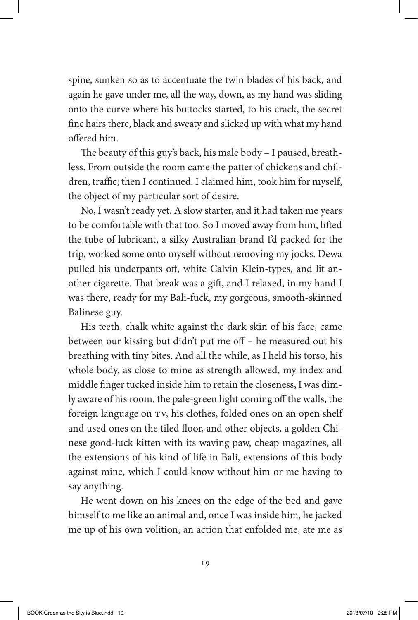spine, sunken so as to accentuate the twin blades of his back, and again he gave under me, all the way, down, as my hand was sliding onto the curve where his buttocks started, to his crack, the secret fine hairs there, black and sweaty and slicked up with what my hand offered him.

The beauty of this guy's back, his male body – I paused, breathless. From outside the room came the patter of chickens and children, traffic; then I continued. I claimed him, took him for myself, the object of my particular sort of desire.

No, I wasn't ready yet. A slow starter, and it had taken me years to be comfortable with that too. So I moved away from him, lifted the tube of lubricant, a silky Australian brand I'd packed for the trip, worked some onto myself without removing my jocks. Dewa pulled his underpants off, white Calvin Klein-types, and lit another cigarette. That break was a gift, and I relaxed, in my hand I was there, ready for my Bali-fuck, my gorgeous, smooth-skinned Balinese guy.

His teeth, chalk white against the dark skin of his face, came between our kissing but didn't put me off – he measured out his breathing with tiny bites. And all the while, as I held his torso, his whole body, as close to mine as strength allowed, my index and middle finger tucked inside him to retain the closeness, I was dimly aware of his room, the pale-green light coming off the walls, the foreign language on TV, his clothes, folded ones on an open shelf and used ones on the tiled floor, and other objects, a golden Chinese good-luck kitten with its waving paw, cheap magazines, all the extensions of his kind of life in Bali, extensions of this body against mine, which I could know without him or me having to say anything.

He went down on his knees on the edge of the bed and gave himself to me like an animal and, once I was inside him, he jacked me up of his own volition, an action that enfolded me, ate me as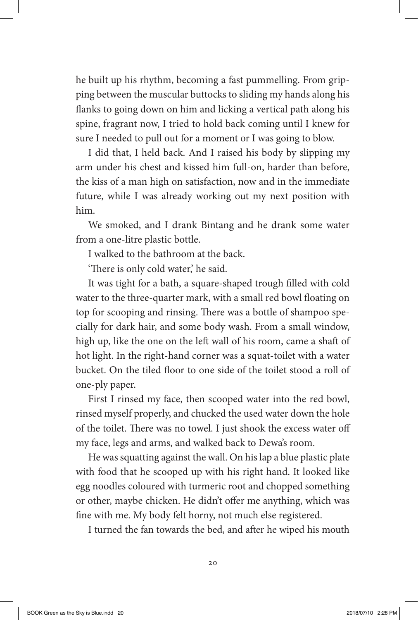he built up his rhythm, becoming a fast pummelling. From gripping between the muscular buttocks to sliding my hands along his flanks to going down on him and licking a vertical path along his spine, fragrant now, I tried to hold back coming until I knew for sure I needed to pull out for a moment or I was going to blow.

I did that, I held back. And I raised his body by slipping my arm under his chest and kissed him full-on, harder than before, the kiss of a man high on satisfaction, now and in the immediate future, while I was already working out my next position with him.

We smoked, and I drank Bintang and he drank some water from a one-litre plastic bottle.

I walked to the bathroom at the back.

'There is only cold water,' he said.

It was tight for a bath, a square-shaped trough filled with cold water to the three-quarter mark, with a small red bowl floating on top for scooping and rinsing. There was a bottle of shampoo specially for dark hair, and some body wash. From a small window, high up, like the one on the left wall of his room, came a shaft of hot light. In the right-hand corner was a squat-toilet with a water bucket. On the tiled floor to one side of the toilet stood a roll of one-ply paper.

First I rinsed my face, then scooped water into the red bowl, rinsed myself properly, and chucked the used water down the hole of the toilet. There was no towel. I just shook the excess water off my face, legs and arms, and walked back to Dewa's room.

He was squatting against the wall. On his lap a blue plastic plate with food that he scooped up with his right hand. It looked like egg noodles coloured with turmeric root and chopped something or other, maybe chicken. He didn't offer me anything, which was fine with me. My body felt horny, not much else registered.

I turned the fan towards the bed, and after he wiped his mouth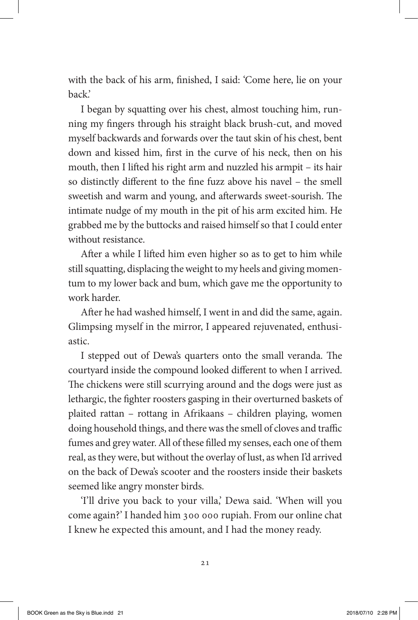with the back of his arm, finished, I said: 'Come here, lie on your back.'

I began by squatting over his chest, almost touching him, running my fingers through his straight black brush-cut, and moved myself backwards and forwards over the taut skin of his chest, bent down and kissed him, first in the curve of his neck, then on his mouth, then I lifted his right arm and nuzzled his armpit – its hair so distinctly different to the fine fuzz above his navel – the smell sweetish and warm and young, and afterwards sweet-sourish. The intimate nudge of my mouth in the pit of his arm excited him. He grabbed me by the buttocks and raised himself so that I could enter without resistance.

After a while I lifted him even higher so as to get to him while still squatting, displacing the weight to my heels and giving momentum to my lower back and bum, which gave me the opportunity to work harder.

After he had washed himself, I went in and did the same, again. Glimpsing myself in the mirror, I appeared rejuvenated, enthusiastic.

I stepped out of Dewa's quarters onto the small veranda. The courtyard inside the compound looked different to when I arrived. The chickens were still scurrying around and the dogs were just as lethargic, the fighter roosters gasping in their overturned baskets of plaited rattan – rottang in Afrikaans – children playing, women doing household things, and there was the smell of cloves and traffic fumes and grey water. All of these filled my senses, each one of them real, as they were, but without the overlay of lust, as when I'd arrived on the back of Dewa's scooter and the roosters inside their baskets seemed like angry monster birds.

'I'll drive you back to your villa,' Dewa said. 'When will you come again?' I handed him 300 000 rupiah. From our online chat I knew he expected this amount, and I had the money ready.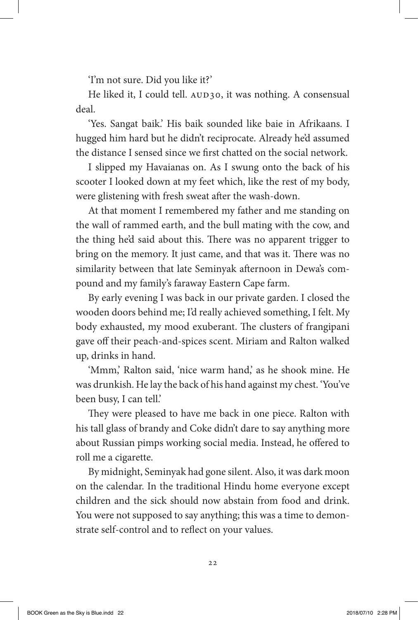'I'm not sure. Did you like it?'

He liked it, I could tell. AUD30, it was nothing. A consensual deal.

'Yes. Sangat baik.' His baik sounded like baie in Afrikaans. I hugged him hard but he didn't reciprocate. Already he'd assumed the distance I sensed since we first chatted on the social network.

I slipped my Havaianas on. As I swung onto the back of his scooter I looked down at my feet which, like the rest of my body, were glistening with fresh sweat after the wash-down.

At that moment I remembered my father and me standing on the wall of rammed earth, and the bull mating with the cow, and the thing he'd said about this. There was no apparent trigger to bring on the memory. It just came, and that was it. There was no similarity between that late Seminyak afternoon in Dewa's compound and my family's faraway Eastern Cape farm.

By early evening I was back in our private garden. I closed the wooden doors behind me; I'd really achieved something, I felt. My body exhausted, my mood exuberant. The clusters of frangipani gave off their peach-and-spices scent. Miriam and Ralton walked up, drinks in hand.

'Mmm,' Ralton said, 'nice warm hand,' as he shook mine. He was drunkish. He lay the back of his hand against my chest. 'You've been busy, I can tell.'

They were pleased to have me back in one piece. Ralton with his tall glass of brandy and Coke didn't dare to say anything more about Russian pimps working social media. Instead, he offered to roll me a cigarette.

By midnight, Seminyak had gone silent. Also, it was dark moon on the calendar. In the traditional Hindu home everyone except children and the sick should now abstain from food and drink. You were not supposed to say anything; this was a time to demonstrate self-control and to reflect on your values.